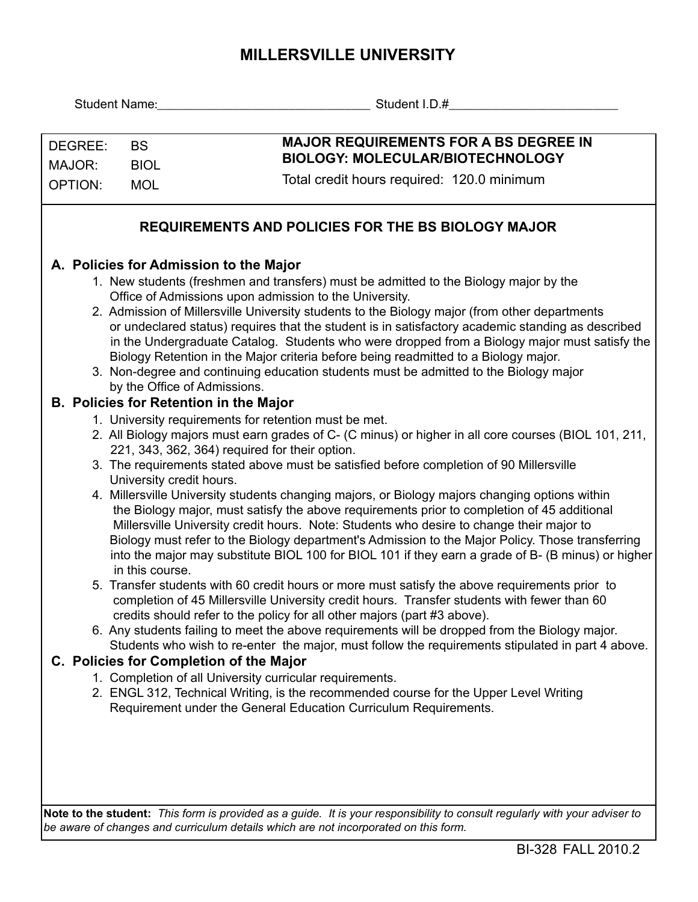## **MILLERSVILLE UNIVERSITY**

|                                                                                                                                              |                                                                                                                                                                                                    | Student I.D.# The Contract of the Student I.D.#                                                                                                                                               |  |  |  |  |  |
|----------------------------------------------------------------------------------------------------------------------------------------------|----------------------------------------------------------------------------------------------------------------------------------------------------------------------------------------------------|-----------------------------------------------------------------------------------------------------------------------------------------------------------------------------------------------|--|--|--|--|--|
|                                                                                                                                              |                                                                                                                                                                                                    |                                                                                                                                                                                               |  |  |  |  |  |
| DEGREE:                                                                                                                                      | <b>BS</b>                                                                                                                                                                                          | <b>MAJOR REQUIREMENTS FOR A BS DEGREE IN</b>                                                                                                                                                  |  |  |  |  |  |
| MAJOR:                                                                                                                                       | <b>BIOL</b>                                                                                                                                                                                        | BIOLOGY: MOLECULAR/BIOTECHNOLOGY                                                                                                                                                              |  |  |  |  |  |
| <b>OPTION:</b>                                                                                                                               | <b>MOL</b>                                                                                                                                                                                         | Total credit hours required: 120.0 minimum                                                                                                                                                    |  |  |  |  |  |
|                                                                                                                                              |                                                                                                                                                                                                    |                                                                                                                                                                                               |  |  |  |  |  |
| <b>REQUIREMENTS AND POLICIES FOR THE BS BIOLOGY MAJOR</b>                                                                                    |                                                                                                                                                                                                    |                                                                                                                                                                                               |  |  |  |  |  |
| A. Policies for Admission to the Major                                                                                                       |                                                                                                                                                                                                    |                                                                                                                                                                                               |  |  |  |  |  |
| 1. New students (freshmen and transfers) must be admitted to the Biology major by the                                                        |                                                                                                                                                                                                    |                                                                                                                                                                                               |  |  |  |  |  |
| Office of Admissions upon admission to the University.                                                                                       |                                                                                                                                                                                                    |                                                                                                                                                                                               |  |  |  |  |  |
| 2. Admission of Millersville University students to the Biology major (from other departments                                                |                                                                                                                                                                                                    |                                                                                                                                                                                               |  |  |  |  |  |
|                                                                                                                                              | or undeclared status) requires that the student is in satisfactory academic standing as described<br>in the Undergraduate Catalog. Students who were dropped from a Biology major must satisfy the |                                                                                                                                                                                               |  |  |  |  |  |
|                                                                                                                                              | Biology Retention in the Major criteria before being readmitted to a Biology major.                                                                                                                |                                                                                                                                                                                               |  |  |  |  |  |
|                                                                                                                                              | 3. Non-degree and continuing education students must be admitted to the Biology major                                                                                                              |                                                                                                                                                                                               |  |  |  |  |  |
|                                                                                                                                              | by the Office of Admissions.                                                                                                                                                                       |                                                                                                                                                                                               |  |  |  |  |  |
| <b>B. Policies for Retention in the Major</b>                                                                                                |                                                                                                                                                                                                    |                                                                                                                                                                                               |  |  |  |  |  |
|                                                                                                                                              | 1. University requirements for retention must be met.<br>2. All Biology majors must earn grades of C- (C minus) or higher in all core courses (BIOL 101, 211,                                      |                                                                                                                                                                                               |  |  |  |  |  |
|                                                                                                                                              |                                                                                                                                                                                                    | 221, 343, 362, 364) required for their option.                                                                                                                                                |  |  |  |  |  |
|                                                                                                                                              |                                                                                                                                                                                                    | 3. The requirements stated above must be satisfied before completion of 90 Millersville                                                                                                       |  |  |  |  |  |
|                                                                                                                                              |                                                                                                                                                                                                    | University credit hours.                                                                                                                                                                      |  |  |  |  |  |
|                                                                                                                                              |                                                                                                                                                                                                    | 4. Millersville University students changing majors, or Biology majors changing options within<br>the Biology major, must satisfy the above requirements prior to completion of 45 additional |  |  |  |  |  |
|                                                                                                                                              |                                                                                                                                                                                                    | Millersville University credit hours. Note: Students who desire to change their major to                                                                                                      |  |  |  |  |  |
|                                                                                                                                              |                                                                                                                                                                                                    | Biology must refer to the Biology department's Admission to the Major Policy. Those transferring                                                                                              |  |  |  |  |  |
|                                                                                                                                              | in this course.                                                                                                                                                                                    | into the major may substitute BIOL 100 for BIOL 101 if they earn a grade of B- (B minus) or higher                                                                                            |  |  |  |  |  |
|                                                                                                                                              |                                                                                                                                                                                                    | 5. Transfer students with 60 credit hours or more must satisfy the above requirements prior to                                                                                                |  |  |  |  |  |
|                                                                                                                                              |                                                                                                                                                                                                    | completion of 45 Millersville University credit hours. Transfer students with fewer than 60                                                                                                   |  |  |  |  |  |
|                                                                                                                                              |                                                                                                                                                                                                    | credits should refer to the policy for all other majors (part #3 above).                                                                                                                      |  |  |  |  |  |
|                                                                                                                                              |                                                                                                                                                                                                    | 6. Any students failing to meet the above requirements will be dropped from the Biology major.                                                                                                |  |  |  |  |  |
| Students who wish to re-enter the major, must follow the requirements stipulated in part 4 above.<br>C. Policies for Completion of the Major |                                                                                                                                                                                                    |                                                                                                                                                                                               |  |  |  |  |  |
| 1. Completion of all University curricular requirements.                                                                                     |                                                                                                                                                                                                    |                                                                                                                                                                                               |  |  |  |  |  |
|                                                                                                                                              |                                                                                                                                                                                                    | 2. ENGL 312, Technical Writing, is the recommended course for the Upper Level Writing                                                                                                         |  |  |  |  |  |
|                                                                                                                                              |                                                                                                                                                                                                    | Requirement under the General Education Curriculum Requirements.                                                                                                                              |  |  |  |  |  |
|                                                                                                                                              |                                                                                                                                                                                                    |                                                                                                                                                                                               |  |  |  |  |  |
|                                                                                                                                              |                                                                                                                                                                                                    |                                                                                                                                                                                               |  |  |  |  |  |
|                                                                                                                                              |                                                                                                                                                                                                    |                                                                                                                                                                                               |  |  |  |  |  |
|                                                                                                                                              |                                                                                                                                                                                                    |                                                                                                                                                                                               |  |  |  |  |  |

**Note to the student:** *This form is provided as a guide. It is your responsibility to consult regularly with your adviser to be aware of changes and curriculum details which are not incorporated on this form.*